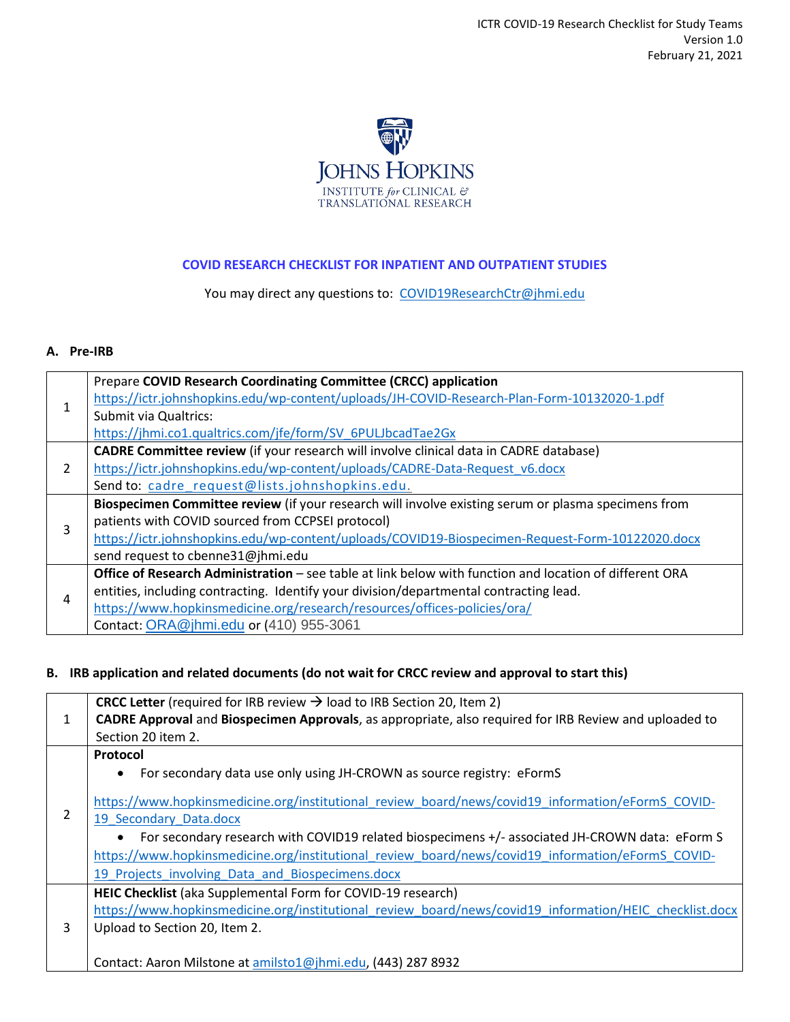

## **COVID RESEARCH CHECKLIST FOR INPATIENT AND OUTPATIENT STUDIES**

You may direct any questions to: [COVID19ResearchCtr@jhmi.edu](mailto:COVID19ResearchCtr@jhmi.edu)

## **A. Pre-IRB**

|               | Prepare COVID Research Coordinating Committee (CRCC) application                                               |
|---------------|----------------------------------------------------------------------------------------------------------------|
|               | https://ictr.johnshopkins.edu/wp-content/uploads/JH-COVID-Research-Plan-Form-10132020-1.pdf                    |
|               | <b>Submit via Qualtrics:</b>                                                                                   |
|               | https://jhmi.co1.qualtrics.com/jfe/form/SV 6PULJbcadTae2Gx                                                     |
| $\mathcal{P}$ | CADRE Committee review (if your research will involve clinical data in CADRE database)                         |
|               | https://ictr.johnshopkins.edu/wp-content/uploads/CADRE-Data-Request v6.docx                                    |
|               | Send to: cadre request@lists.johnshopkins.edu.                                                                 |
| 3             | Biospecimen Committee review (if your research will involve existing serum or plasma specimens from            |
|               | patients with COVID sourced from CCPSEI protocol)                                                              |
|               | https://ictr.johnshopkins.edu/wp-content/uploads/COVID19-Biospecimen-Request-Form-10122020.docx                |
|               | send request to cbenne31@jhmi.edu                                                                              |
| 4             | <b>Office of Research Administration</b> – see table at link below with function and location of different ORA |
|               | entities, including contracting. Identify your division/departmental contracting lead.                         |
|               | https://www.hopkinsmedicine.org/research/resources/offices-policies/ora/                                       |
|               | Contact: ORA@jhmi.edu or (410) 955-3061                                                                        |

## **B. IRB application and related documents (do not wait for CRCC review and approval to start this)**

|   | <b>CRCC Letter</b> (required for IRB review $\rightarrow$ load to IRB Section 20, Item 2)                   |
|---|-------------------------------------------------------------------------------------------------------------|
| 1 | CADRE Approval and Biospecimen Approvals, as appropriate, also required for IRB Review and uploaded to      |
|   | Section 20 item 2.                                                                                          |
|   | <b>Protocol</b>                                                                                             |
|   | For secondary data use only using JH-CROWN as source registry: eFormS<br>$\bullet$                          |
| 2 | https://www.hopkinsmedicine.org/institutional review board/news/covid19 information/eFormS COVID-           |
|   | 19 Secondary Data.docx                                                                                      |
|   | For secondary research with COVID19 related biospecimens +/- associated JH-CROWN data: eForm S<br>$\bullet$ |
|   | https://www.hopkinsmedicine.org/institutional review board/news/covid19 information/eFormS COVID-           |
|   | 19 Projects involving Data and Biospecimens.docx                                                            |
|   | HEIC Checklist (aka Supplemental Form for COVID-19 research)                                                |
|   | https://www.hopkinsmedicine.org/institutional review board/news/covid19 information/HEIC checklist.docx     |
| 3 | Upload to Section 20, Item 2.                                                                               |
|   | Contact: Aaron Milstone at amilsto1@jhmi.edu, (443) 287 8932                                                |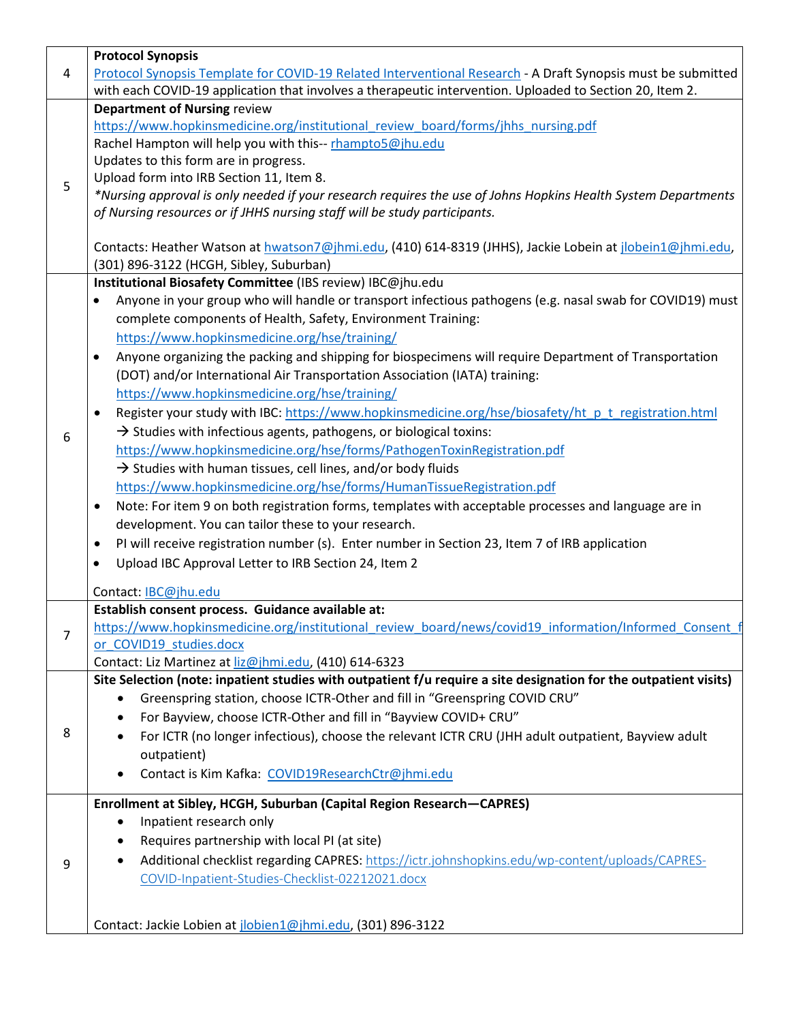|   | <b>Protocol Synopsis</b>                                                                                                                             |
|---|------------------------------------------------------------------------------------------------------------------------------------------------------|
| 4 | Protocol Synopsis Template for COVID-19 Related Interventional Research - A Draft Synopsis must be submitted                                         |
|   | with each COVID-19 application that involves a therapeutic intervention. Uploaded to Section 20, Item 2.                                             |
|   | <b>Department of Nursing review</b>                                                                                                                  |
|   | https://www.hopkinsmedicine.org/institutional review board/forms/jhhs nursing.pdf                                                                    |
|   | Rachel Hampton will help you with this-- rhampto5@jhu.edu                                                                                            |
|   | Updates to this form are in progress.                                                                                                                |
| 5 | Upload form into IRB Section 11, Item 8.                                                                                                             |
|   | *Nursing approval is only needed if your research requires the use of Johns Hopkins Health System Departments                                        |
|   | of Nursing resources or if JHHS nursing staff will be study participants.                                                                            |
|   |                                                                                                                                                      |
|   | Contacts: Heather Watson at hwatson7@jhmi.edu, (410) 614-8319 (JHHS), Jackie Lobein at jlobein1@jhmi.edu,<br>(301) 896-3122 (HCGH, Sibley, Suburban) |
|   |                                                                                                                                                      |
|   | Institutional Biosafety Committee (IBS review) IBC@jhu.edu                                                                                           |
|   | Anyone in your group who will handle or transport infectious pathogens (e.g. nasal swab for COVID19) must<br>$\bullet$                               |
|   | complete components of Health, Safety, Environment Training:                                                                                         |
|   | https://www.hopkinsmedicine.org/hse/training/                                                                                                        |
|   | Anyone organizing the packing and shipping for biospecimens will require Department of Transportation<br>$\bullet$                                   |
|   | (DOT) and/or International Air Transportation Association (IATA) training:                                                                           |
|   | https://www.hopkinsmedicine.org/hse/training/                                                                                                        |
|   | Register your study with IBC: https://www.hopkinsmedicine.org/hse/biosafety/ht p t registration.html<br>٠                                            |
| 6 | $\rightarrow$ Studies with infectious agents, pathogens, or biological toxins:                                                                       |
|   | https://www.hopkinsmedicine.org/hse/forms/PathogenToxinRegistration.pdf                                                                              |
|   | $\rightarrow$ Studies with human tissues, cell lines, and/or body fluids                                                                             |
|   | https://www.hopkinsmedicine.org/hse/forms/HumanTissueRegistration.pdf                                                                                |
|   | Note: For item 9 on both registration forms, templates with acceptable processes and language are in<br>$\bullet$                                    |
|   | development. You can tailor these to your research.                                                                                                  |
|   | PI will receive registration number (s). Enter number in Section 23, Item 7 of IRB application<br>٠                                                  |
|   | Upload IBC Approval Letter to IRB Section 24, Item 2<br>$\bullet$                                                                                    |
|   |                                                                                                                                                      |
|   | Contact: IBC@jhu.edu                                                                                                                                 |
|   | Establish consent process. Guidance available at:                                                                                                    |
| 7 | https://www.hopkinsmedicine.org/institutional_review_board/news/covid19_information/Informed_Consent_f                                               |
|   | or_COVID19_studies.docx<br>Contact: Liz Martinez at liz@jhmi.edu, (410) 614-6323                                                                     |
|   | Site Selection (note: inpatient studies with outpatient f/u require a site designation for the outpatient visits)                                    |
|   | Greenspring station, choose ICTR-Other and fill in "Greenspring COVID CRU"                                                                           |
|   | For Bayview, choose ICTR-Other and fill in "Bayview COVID+ CRU"                                                                                      |
| 8 |                                                                                                                                                      |
|   | For ICTR (no longer infectious), choose the relevant ICTR CRU (JHH adult outpatient, Bayview adult                                                   |
|   | outpatient)                                                                                                                                          |
|   | Contact is Kim Kafka: COVID19ResearchCtr@jhmi.edu                                                                                                    |
|   | Enrollment at Sibley, HCGH, Suburban (Capital Region Research-CAPRES)                                                                                |
|   | Inpatient research only                                                                                                                              |
|   | Requires partnership with local PI (at site)                                                                                                         |
| 9 | Additional checklist regarding CAPRES: https://ictr.johnshopkins.edu/wp-content/uploads/CAPRES-                                                      |
|   | COVID-Inpatient-Studies-Checklist-02212021.docx                                                                                                      |
|   |                                                                                                                                                      |
|   |                                                                                                                                                      |
|   | Contact: Jackie Lobien at jlobien1@jhmi.edu, (301) 896-3122                                                                                          |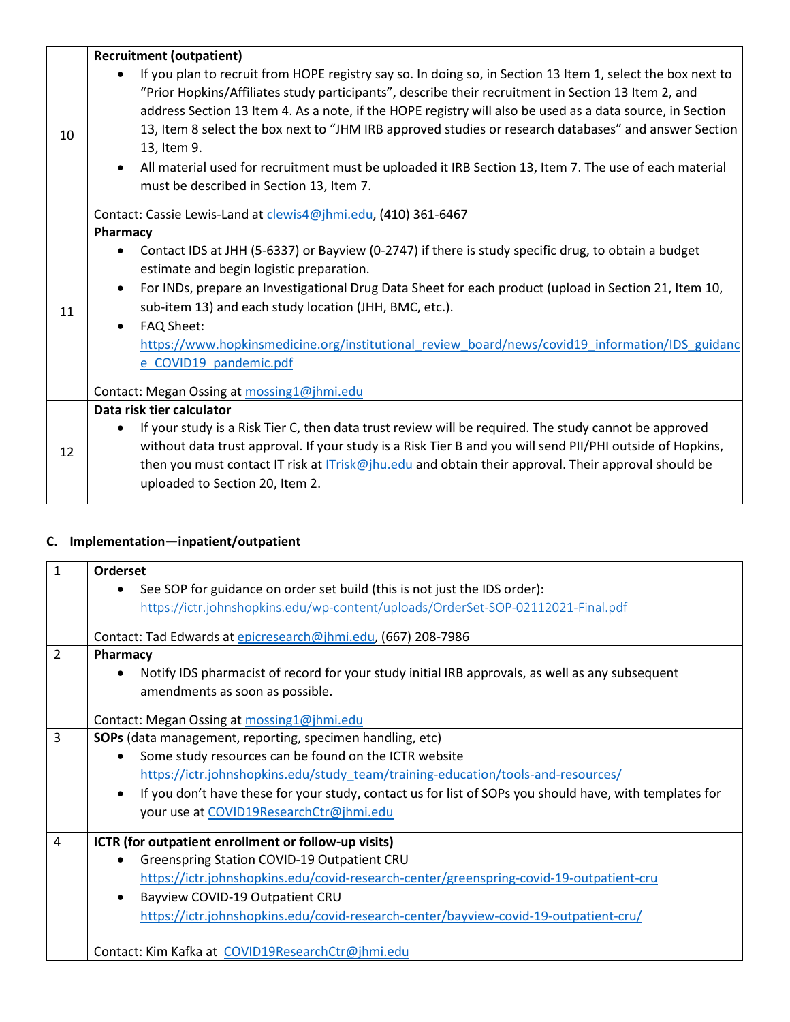|    | <b>Recruitment (outpatient)</b>                                                                                                                                                                                                                                                                                                                                                                                                                                                                                                                                                                               |
|----|---------------------------------------------------------------------------------------------------------------------------------------------------------------------------------------------------------------------------------------------------------------------------------------------------------------------------------------------------------------------------------------------------------------------------------------------------------------------------------------------------------------------------------------------------------------------------------------------------------------|
| 10 | If you plan to recruit from HOPE registry say so. In doing so, in Section 13 Item 1, select the box next to<br>"Prior Hopkins/Affiliates study participants", describe their recruitment in Section 13 Item 2, and<br>address Section 13 Item 4. As a note, if the HOPE registry will also be used as a data source, in Section<br>13, Item 8 select the box next to "JHM IRB approved studies or research databases" and answer Section<br>13, Item 9.<br>All material used for recruitment must be uploaded it IRB Section 13, Item 7. The use of each material<br>must be described in Section 13, Item 7. |
|    | Contact: Cassie Lewis-Land at clewis4@jhmi.edu, (410) 361-6467                                                                                                                                                                                                                                                                                                                                                                                                                                                                                                                                                |
| 11 | Pharmacy<br>Contact IDS at JHH (5-6337) or Bayview (0-2747) if there is study specific drug, to obtain a budget<br>estimate and begin logistic preparation.<br>For INDs, prepare an Investigational Drug Data Sheet for each product (upload in Section 21, Item 10,<br>$\bullet$<br>sub-item 13) and each study location (JHH, BMC, etc.).<br>FAQ Sheet:<br>$\bullet$<br>https://www.hopkinsmedicine.org/institutional review board/news/covid19 information/IDS guidanc<br>e COVID19 pandemic.pdf                                                                                                           |
|    | Contact: Megan Ossing at mossing1@jhmi.edu                                                                                                                                                                                                                                                                                                                                                                                                                                                                                                                                                                    |
| 12 | Data risk tier calculator<br>If your study is a Risk Tier C, then data trust review will be required. The study cannot be approved<br>without data trust approval. If your study is a Risk Tier B and you will send PII/PHI outside of Hopkins,<br>then you must contact IT risk at <i>ITrisk@jhu.edu</i> and obtain their approval. Their approval should be<br>uploaded to Section 20, Item 2.                                                                                                                                                                                                              |

## **C. Implementation—inpatient/outpatient**

| $\mathbf{1}$   | Orderset                                                                                                |
|----------------|---------------------------------------------------------------------------------------------------------|
|                | See SOP for guidance on order set build (this is not just the IDS order):                               |
|                | https://ictr.johnshopkins.edu/wp-content/uploads/OrderSet-SOP-02112021-Final.pdf                        |
|                | Contact: Tad Edwards at epicresearch@jhmi.edu, (667) 208-7986                                           |
| $\overline{2}$ | Pharmacy                                                                                                |
|                | Notify IDS pharmacist of record for your study initial IRB approvals, as well as any subsequent         |
|                | amendments as soon as possible.                                                                         |
|                | Contact: Megan Ossing at mossing1@jhmi.edu                                                              |
| 3              | <b>SOPs</b> (data management, reporting, specimen handling, etc)                                        |
|                | Some study resources can be found on the ICTR website                                                   |
|                | https://ictr.johnshopkins.edu/study_team/training-education/tools-and-resources/                        |
|                | If you don't have these for your study, contact us for list of SOPs you should have, with templates for |
|                | your use at COVID19ResearchCtr@jhmi.edu                                                                 |
| 4              | ICTR (for outpatient enrollment or follow-up visits)                                                    |
|                | Greenspring Station COVID-19 Outpatient CRU                                                             |
|                | https://ictr.johnshopkins.edu/covid-research-center/greenspring-covid-19-outpatient-cru                 |
|                | Bayview COVID-19 Outpatient CRU                                                                         |
|                | https://ictr.johnshopkins.edu/covid-research-center/bayview-covid-19-outpatient-cru/                    |
|                |                                                                                                         |
|                | Contact: Kim Kafka at COVID19ResearchCtr@jhmi.edu                                                       |